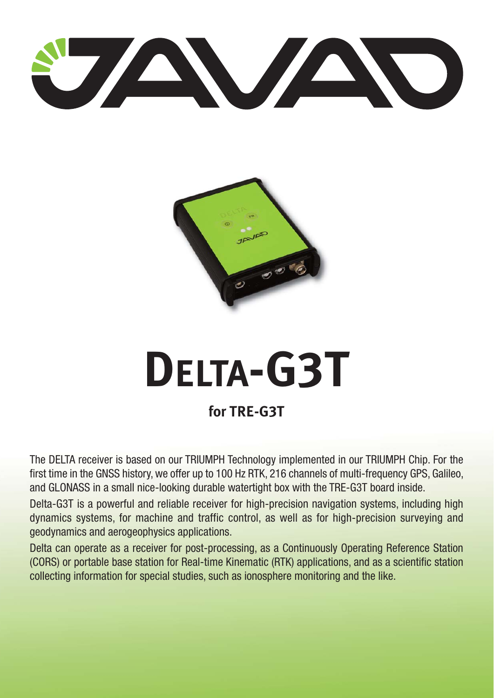



## **DELTA-G3T for TRE-G3T**

The DELTA receiver is based on our TRIUMPH Technology implemented in our TRIUMPH Chip. For the first time in the GNSS history, we offer up to 100 Hz RTK, 216 channels of multi-frequency GPS, Galileo, and GLONASS in a small nice-looking durable watertight box with the TRE-G3T board inside.

Delta-G3T is a powerful and reliable receiver for high-precision navigation systems, including high dynamics systems, for machine and traffic control, as well as for high-precision surveying and geodynamics and aerogeophysics applications.

Delta can operate as a receiver for post-processing, as a Continuously Operating Reference Station (CORS) or portable base station for Real-time Kinematic (RTK) applications, and as a scientific station collecting information for special studies, such as ionosphere monitoring and the like.